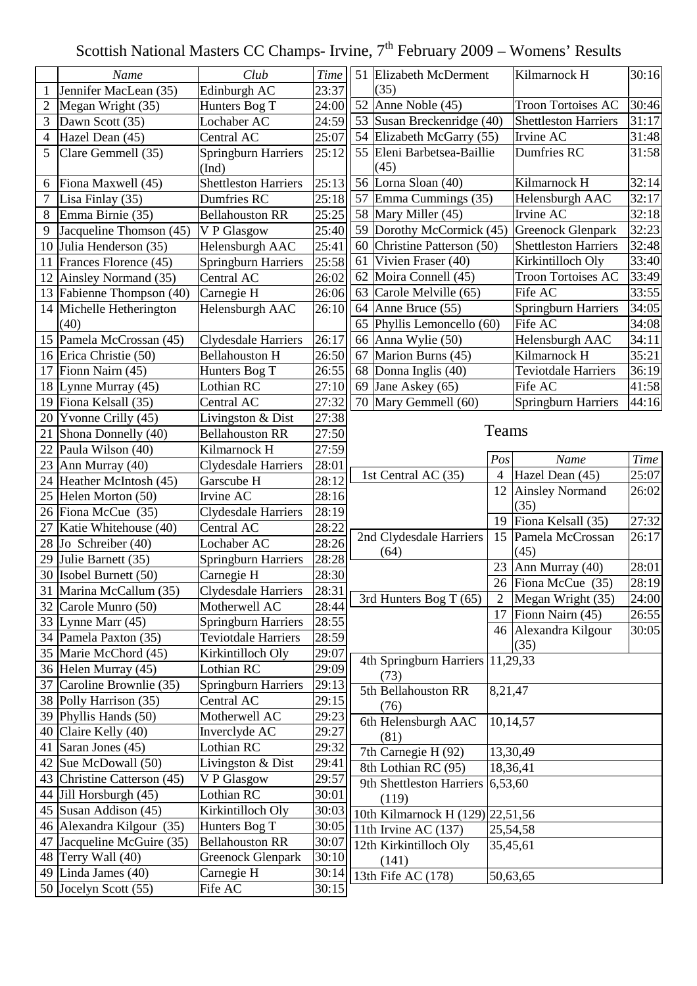## Scottish National Masters CC Champs- Irvine,  $7<sup>th</sup>$  February 2009 – Womens' Results

|                 | Name                       | Club                                | <b>Time</b>         |    | 51 Elizabeth McDerment             |                          | Kilmarnock H                         | 30:16              |  |
|-----------------|----------------------------|-------------------------------------|---------------------|----|------------------------------------|--------------------------|--------------------------------------|--------------------|--|
| 1               | Jennifer MacLean (35)      | Edinburgh AC                        | 23:37               |    | (35)                               |                          |                                      |                    |  |
| $\overline{2}$  | Megan Wright (35)          | Hunters Bog T                       | 24:00               |    | 52 Anne Noble $(45)$               |                          | <b>Troon Tortoises AC</b><br>30:46   |                    |  |
| 3               | Dawn Scott (35)            | Lochaber AC                         | 24:59               |    | 53 Susan Breckenridge (40)         |                          | <b>Shettleston Harriers</b><br>31:17 |                    |  |
| 4               | Hazel Dean (45)            | Central AC                          | 25:07               |    | 54 Elizabeth McGarry (55)          |                          | Irvine AC<br>31:48                   |                    |  |
| 5               | Clare Gemmell (35)         | <b>Springburn Harriers</b><br>(Ind) | 25:12               |    | 55 Eleni Barbetsea-Baillie<br>(45) |                          | Dumfries RC<br>31:58                 |                    |  |
| 6               | Fiona Maxwell (45)         | <b>Shettleston Harriers</b>         | 25:13               |    | 56 Lorna Sloan (40)                |                          | Kilmarnock H                         | 32:14              |  |
| 7               | Lisa Finlay (35)           | Dumfries RC                         | 25:18               |    | 57 Emma Cummings (35)              |                          | Helensburgh AAC                      | 32:17              |  |
| 8               | Emma Birnie (35)           | <b>Bellahouston RR</b>              | 25:25               |    | 58 Mary Miller (45)                |                          | Irvine AC                            | 32:18              |  |
| 9               | Jacqueline Thomson (45)    | V P Glasgow                         | $\overline{2}$ 5:40 |    | 59 Dorothy McCormick (45)          |                          | <b>Greenock Glenpark</b>             | 32:23              |  |
| 10              | Julia Henderson (35)       | Helensburgh AAC                     | 25:41               |    | 60 Christine Patterson (50)        |                          | <b>Shettleston Harriers</b>          | 32:48              |  |
| 11              | Frances Florence (45)      | <b>Springburn Harriers</b>          | 25:58               | 61 | Vivien Fraser (40)                 |                          | Kirkintilloch Oly                    | 33:40              |  |
| 12              | Ainsley Normand (35)       | Central AC                          | 26:02               |    | 62 Moira Connell (45)              |                          | <b>Troon Tortoises AC</b>            | 33:49              |  |
| 13              | Fabienne Thompson (40)     | Carnegie H                          | 26:06               |    | 63 Carole Melville (65)            |                          | Fife AC                              | 33:55              |  |
| 14              | Michelle Hetherington      | Helensburgh AAC                     | 26:10               |    | 64 Anne Bruce (55)                 |                          | <b>Springburn Harriers</b>           | 34:05              |  |
|                 | (40)                       |                                     |                     |    | 65 Phyllis Lemoncello (60)         |                          | Fife AC                              | 34:08              |  |
| 15              | Pamela McCrossan (45)      | <b>Clydesdale Harriers</b>          | 26:17               |    | 66 Anna Wylie (50)                 |                          | Helensburgh AAC                      | 34:11              |  |
| 16              | Erica Christie (50)        | <b>Bellahouston H</b>               | 26:50               |    | 67 Marion Burns (45)               |                          | Kilmarnock H                         | 35:21              |  |
| 17              | Fionn Nairn (45)           | Hunters Bog T                       | 26:55               |    | 68 Donna Inglis (40)               |                          | <b>Teviotdale Harriers</b>           | 36:19              |  |
| 18              | Lynne Murray (45)          | Lothian RC                          | 27:10               |    | 69 Jane Askey $(65)$               |                          | Fife AC                              | 41:58              |  |
| 19              | Fiona Kelsall (35)         | Central AC                          | 27:32               |    | 70 Mary Gemmell (60)               |                          | <b>Springburn Harriers</b>           | 44:16              |  |
| 20              | Yvonne Crilly (45)         | Livingston & Dist                   | 27:38               |    |                                    |                          |                                      |                    |  |
| 21              | Shona Donnelly (40)        | <b>Bellahouston RR</b>              | 27:50               |    |                                    | Teams                    |                                      |                    |  |
| 22              | Paula Wilson (40)          | Kilmarnock H                        | 27:59               |    |                                    |                          |                                      |                    |  |
| 23              | Ann Murray (40)            | Clydesdale Harriers                 | 28:01               |    |                                    | Pos                      | Name                                 | <b>Time</b>        |  |
| 24              | Heather McIntosh (45)      | Garscube H                          | 28:12               |    | 1st Central AC (35)                | $\overline{\mathcal{A}}$ | Hazel Dean (45)                      | 25:07              |  |
| 25              | Helen Morton (50)          | Irvine AC                           | 28:16               |    |                                    | 12                       | <b>Ainsley Normand</b>               | 26:02              |  |
| 26              | Fiona McCue (35)           | Clydesdale Harriers                 | 28:19               |    |                                    |                          | (35)                                 |                    |  |
| 27              | Katie Whitehouse (40)      | Central AC                          | 28:22               |    |                                    | 19                       | Fiona Kelsall (35)                   | $\overline{27:32}$ |  |
| 28              | Jo Schreiber (40)          | Lochaber AC                         | 28:26               |    | 2nd Clydesdale Harriers            | 15                       | Pamela McCrossan                     | 26:17              |  |
| 29              | Julie Barnett (35)         | Springburn Harriers                 | 28:28               |    | (64)                               |                          | (45)                                 |                    |  |
| 30              | <b>Isobel Burnett</b> (50) | Carnegie H                          | 28:30               |    |                                    |                          | 23 Ann Murray $(40)$                 | 28:01              |  |
| $\overline{31}$ | Marina McCallum (35)       | Clydesdale Harriers                 | 28:31               |    |                                    |                          | 26 Fiona McCue (35)                  | 28:19              |  |
| 32              | Carole Munro (50)          | Motherwell AC                       | 28:44               |    | 3rd Hunters Bog T (65)             | $\overline{2}$           | Megan Wright (35)                    | 24:00              |  |
|                 | 33   Lynne Marr $(45)$     | Springburn Harriers                 | 28:55               |    |                                    | 17                       | Fionn Nairn (45)                     | 26:55              |  |
|                 | 34 Pamela Paxton (35)      | Teviotdale Harriers                 | 28:59               |    |                                    |                          | 46 Alexandra Kilgour                 | 30:05              |  |
| 35              | Marie McChord (45)         | Kirkintilloch Oly                   | 29:07               |    |                                    |                          | (35)                                 |                    |  |
| 36              | Helen Murray (45)          | Lothian RC                          | 29:09               |    | 4th Springburn Harriers            |                          | 11,29,33                             |                    |  |
| 37              | Caroline Brownlie (35)     | <b>Springburn Harriers</b>          | 29:13               |    | (73)                               |                          |                                      |                    |  |
| 38              | Polly Harrison (35)        | Central AC                          | 29:15               |    | 5th Bellahouston RR                | 8,21,47                  |                                      |                    |  |
| 39              | Phyllis Hands (50)         | Motherwell AC                       | 29:23               |    | (76)                               |                          |                                      |                    |  |
| 40              | Claire Kelly (40)          | Inverclyde AC                       | 29:27               |    | 6th Helensburgh AAC                |                          | 10,14,57                             |                    |  |
|                 | Saran Jones (45)           | Lothian RC                          | 29:32               |    | (81)                               |                          |                                      |                    |  |
| 41              |                            |                                     |                     |    | 7th Carnegie H $(92)$              |                          | 13,30,49                             |                    |  |
| 42              | Sue McDowall (50)          | Livingston & Dist                   | 29:41               |    | 8th Lothian RC (95)                |                          | 18,36,41                             |                    |  |
| 43              | Christine Catterson (45)   | V P Glasgow                         | 29:57               |    | 9th Shettleston Harriers 6,53,60   |                          |                                      |                    |  |
| 44              | Jill Horsburgh (45)        | Lothian RC                          | 30:01               |    | (119)                              |                          |                                      |                    |  |
| 45              | Susan Addison (45)         | Kirkintilloch Oly                   | 30:03               |    | 10th Kilmarnock H (129) 22,51,56   |                          |                                      |                    |  |
| 46              | Alexandra Kilgour (35)     | Hunters Bog T                       | 30:05               |    | 11th Irvine AC (137)               |                          | 25,54,58                             |                    |  |
| 47              | Jacqueline McGuire (35)    | <b>Bellahouston RR</b>              | 30:07               |    | 12th Kirkintilloch Oly             | 35,45,61                 |                                      |                    |  |
| 48              | Terry Wall (40)            | <b>Greenock Glenpark</b>            | 30:10               |    | (141)                              |                          |                                      |                    |  |
| 49              | Linda James (40)           | Carnegie H                          | 30:14               |    | 13th Fife AC (178)                 |                          | 50,63,65                             |                    |  |
| 50              | Jocelyn Scott (55)         | Fife AC                             | 30:15               |    |                                    |                          |                                      |                    |  |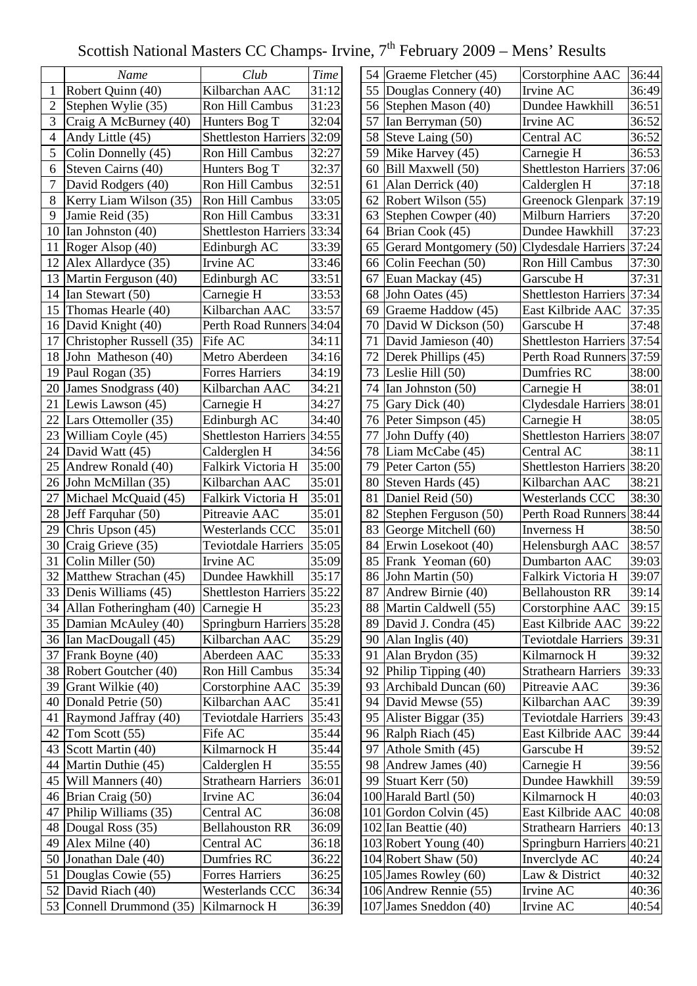## Scottish National Masters CC Champs- Irvine,  $7<sup>th</sup>$  February 2009 – Mens' Results

|                         | Name                       | Club                        | <b>Time</b> | $\overline{\mathbf{5}}$ |
|-------------------------|----------------------------|-----------------------------|-------------|-------------------------|
| $\mathbf{1}$            | Robert Quinn (40)          | Kilbarchan AAC              | 31:12       | $\overline{\mathbf{5}}$ |
| $\overline{2}$          | Stephen Wylie (35)         | <b>Ron Hill Cambus</b>      | 31:23       |                         |
| 3                       | Craig A McBurney (40)      | Hunters Bog T               | 32:04       | $\frac{5}{5}$           |
| $\overline{\mathbf{4}}$ | Andy Little (45)           | <b>Shettleston Harriers</b> | 32:09       |                         |
| 5                       | Colin Donnelly (45)        | <b>Ron Hill Cambus</b>      | 32:27       | 5                       |
| 6                       | Steven Cairns (40)         | Hunters Bog T               | 32:37       | 6                       |
| 7                       | David Rodgers (40)         | <b>Ron Hill Cambus</b>      | 32:51       | 6                       |
| 8                       | Kerry Liam Wilson (35)     | Ron Hill Cambus             | 33:05       | 6                       |
| 9                       | Jamie Reid (35)            | Ron Hill Cambus             | 33:31       | 6                       |
| 10                      | Ian Johnston (40)          | <b>Shettleston Harriers</b> | 33:34       | 6                       |
| 11                      | Roger Alsop (40)           | Edinburgh AC                | 33:39       | 6                       |
| 12                      | Alex Allardyce (35)        | Irvine AC                   | 33:46       | 6                       |
| 13                      | Martin Ferguson (40)       | Edinburgh AC                | 33:51       | 6                       |
|                         | 14 Ian Stewart (50)        | Carnegie H                  | 33:53       | 6                       |
| 15                      | Thomas Hearle (40)         | Kilbarchan AAC              | 33:57       | 6                       |
|                         | 16 David Knight (40)       | Perth Road Runners          | 34:04       | $\overline{7}$          |
| 17                      | Christopher Russell (35)   | Fife AC                     | 34:11       | $\overline{7}$          |
| 18                      | John Matheson (40)         | Metro Aberdeen              | 34:16       | $\overline{7}$          |
| 19                      | Paul Rogan (35)            | <b>Forres Harriers</b>      | 34:19       | $\overline{7}$          |
| 20                      | James Snodgrass (40)       | Kilbarchan AAC              | 34:21       | $\overline{7}$          |
| 21                      | Lewis Lawson (45)          | Carnegie H                  | 34:27       | $\overline{7}$          |
| 22                      | Lars Ottemoller (35)       | Edinburgh AC                | 34:40       | $\overline{7}$          |
|                         | 23 William Coyle (45)      | Shettleston Harriers        | 34:55       | $\overline{7}$          |
|                         | 24 David Watt (45)         | Calderglen H                | 34:56       | $\overline{7}$          |
|                         | 25 Andrew Ronald (40)      | Falkirk Victoria H          | 35:00       | $\overline{7}$          |
| 26                      | John McMillan (35)         | Kilbarchan AAC              | 35:01       | 8                       |
| 27                      | Michael McQuaid (45)       | Falkirk Victoria H          | 35:01       | 8                       |
| 28                      | Jeff Farquhar (50)         | Pitreavie AAC               | 35:01       | 8                       |
| 29                      | Chris Upson (45)           | Westerlands CCC             | 35:01       | 8                       |
| 30                      | Craig Grieve (35)          | <b>Teviotdale Harriers</b>  | 35:05       | 8                       |
| 31                      | Colin Miller (50)          | Irvine AC                   | 35:09       | 8                       |
| 32                      | Matthew Strachan (45)      | Dundee Hawkhill             | 35:17       | $\overline{8}$          |
|                         | 33 Denis Williams (45)     | <b>Shettleston Harriers</b> | 35:22       | 8                       |
|                         | 34 Allan Fotheringham (40) | Carnegie H                  | 35:23       | 8                       |
| 35                      | Damian McAuley (40)        | <b>Springburn Harriers</b>  | 35:28       | 8                       |
|                         | 36 Ian MacDougall (45)     | Kilbarchan AAC              | 35:29       | 9                       |
| 37                      | Frank Boyne (40)           | Aberdeen AAC                | 35:33       | 9                       |
| 38                      | Robert Goutcher (40)       | Ron Hill Cambus             | 35:34       | 9                       |
| 39                      | Grant Wilkie (40)          | Corstorphine AAC            | 35:39       | 9                       |
| 40                      | Donald Petrie (50)         | Kilbarchan AAC              | 35:41       | 9                       |
| 41                      | Raymond Jaffray (40)       | Teviotdale Harriers         | 35:43       | 9                       |
| 42                      | Tom Scott (55)             | Fife AC                     | 35:44       | 9                       |
| 43                      | Scott Martin (40)          | Kilmarnock H                | 35:44       | 9                       |
| 44                      | Martin Duthie (45)         | Calderglen H                | 35:55       | 9                       |
| 45                      | Will Manners (40)          | <b>Strathearn Harriers</b>  | 36:01       | 9                       |
| 46                      | Brian Craig (50)           | Irvine AC                   | 36:04       | $\frac{1}{2}$           |
| 47                      | Philip Williams (35)       | Central AC                  | 36:08       | $\frac{1}{2}$           |
| 48                      | Dougal Ross (35)           | <b>Bellahouston RR</b>      | 36:09       | 1 <sub>0</sub>          |
| 49                      | Alex Milne (40)            | Central AC                  | 36:18       | $\frac{1}{2}$           |
| 50                      | Jonathan Dale (40)         | Dumfries RC                 | 36:22       | $\frac{1}{2}$           |
| 51                      | Douglas Cowie (55)         | <b>Forres Harriers</b>      | 36:25       | 1 <sub>0</sub>          |
| 52                      | David Riach (40)           | Westerlands CCC             | 36:34       | $\frac{1}{2}$           |
| 53                      | Connell Drummond (35)      | Kilmarnock H                | 36:39       | 1 <sub>0</sub>          |
|                         |                            |                             |             |                         |

| 54 | Graeme Fletcher (45)     | Corstorphine AAC            | 36:44 |
|----|--------------------------|-----------------------------|-------|
| 55 | Douglas Connery (40)     | Irvine AC                   | 36:49 |
| 56 | Stephen Mason (40)       | Dundee Hawkhill             | 36:51 |
| 57 | Ian Berryman (50)        | Irvine AC                   | 36:52 |
| 58 | Steve Laing (50)         | Central AC                  | 36:52 |
| 59 | Mike Harvey (45)         | Carnegie H                  | 36:53 |
| 60 | Bill Maxwell (50)        | <b>Shettleston Harriers</b> | 37:06 |
| 61 | Alan Derrick (40)        | Calderglen H                | 37:18 |
| 62 | Robert Wilson (55)       | <b>Greenock Glenpark</b>    | 37:19 |
| 63 | Stephen Cowper (40)      | <b>Milburn Harriers</b>     | 37:20 |
| 64 | Brian Cook (45)          | Dundee Hawkhill             | 37:23 |
| 65 | Gerard Montgomery (50)   | <b>Clydesdale Harriers</b>  | 37:24 |
| 66 | Colin Feechan (50)       | Ron Hill Cambus             | 37:30 |
| 67 | Euan Mackay (45)         | Garscube H                  | 37:31 |
| 68 | John Oates (45)          | <b>Shettleston Harriers</b> | 37:34 |
| 69 | Graeme Haddow (45)       | East Kilbride AAC           | 37:35 |
| 70 | David W Dickson (50)     | Garscube H                  | 37:48 |
| 71 | David Jamieson (40)      | <b>Shettleston Harriers</b> | 37:54 |
| 72 | Derek Phillips (45)      | Perth Road Runners          | 37:59 |
| 73 | Leslie Hill (50)         | Dumfries RC                 | 38:00 |
| 74 | Ian Johnston (50)        | Carnegie H                  | 38:01 |
| 75 | Gary Dick (40)           | <b>Clydesdale Harriers</b>  | 38:01 |
| 76 | Peter Simpson (45)       | Carnegie H                  | 38:05 |
| 77 | John Duffy (40)          | <b>Shettleston Harriers</b> | 38:07 |
| 78 | Liam McCabe (45)         | Central AC                  | 38:11 |
| 79 | Peter Carton (55)        | <b>Shettleston Harriers</b> | 38:20 |
| 80 | Steven Hards (45)        | Kilbarchan AAC              | 38:21 |
| 81 | Daniel Reid (50)         | <b>Westerlands CCC</b>      | 38:30 |
| 82 | Stephen Ferguson (50)    | <b>Perth Road Runners</b>   | 38:44 |
| 83 | George Mitchell (60)     | <b>Inverness H</b>          | 38:50 |
| 84 | Erwin Losekoot (40)      | Helensburgh AAC             | 38:57 |
| 85 | Frank Yeoman (60)        | <b>Dumbarton AAC</b>        | 39:03 |
| 86 | John Martin (50)         | Falkirk Victoria H          | 39:07 |
| 87 | Andrew Birnie (40)       | <b>Bellahouston RR</b>      | 39:14 |
| 88 | Martin Caldwell (55)     | Corstorphine AAC            | 39:15 |
| 89 | David J. Condra (45)     | East Kilbride AAC           | 39:22 |
| 90 | Alan Inglis (40)         | <b>Teviotdale Harriers</b>  | 39:31 |
| 91 | Alan Brydon (35)         | Kilmarnock H                | 39:32 |
| 92 | Philip Tipping (40)      | <b>Strathearn Harriers</b>  | 39:33 |
| 93 | Archibald Duncan (60)    | Pitreavie AAC               | 39:36 |
| 94 | David Mewse (55)         | Kilbarchan AAC              | 39:39 |
| 95 | Alister Biggar (35)      | Teviotdale Harriers         | 39:43 |
| 96 | Ralph Riach (45)         | East Kilbride AAC           | 39:44 |
| 97 | Athole Smith (45)        | Garscube H                  | 39:52 |
| 98 | Andrew James (40)        | Carnegie H                  | 39:56 |
| 99 | Stuart Kerr (50)         | Dundee Hawkhill             | 39:59 |
|    | 100 Harald Bartl (50)    | Kilmarnock H                | 40:03 |
|    | 101 Gordon Colvin $(45)$ | East Kilbride AAC           | 40:08 |
|    | $102$ Ian Beattie (40)   | <b>Strathearn Harriers</b>  | 40:13 |
|    | 103 Robert Young (40)    | <b>Springburn Harriers</b>  | 40:21 |
|    | 104 Robert Shaw (50)     | Inverclyde AC               | 40:24 |
|    | 105 James Rowley (60)    | Law & District              | 40:32 |
|    | 106 Andrew Rennie (55)   | Irvine AC                   | 40:36 |
|    | 107 James Sneddon (40)   | Irvine AC                   | 40:54 |
|    |                          |                             |       |